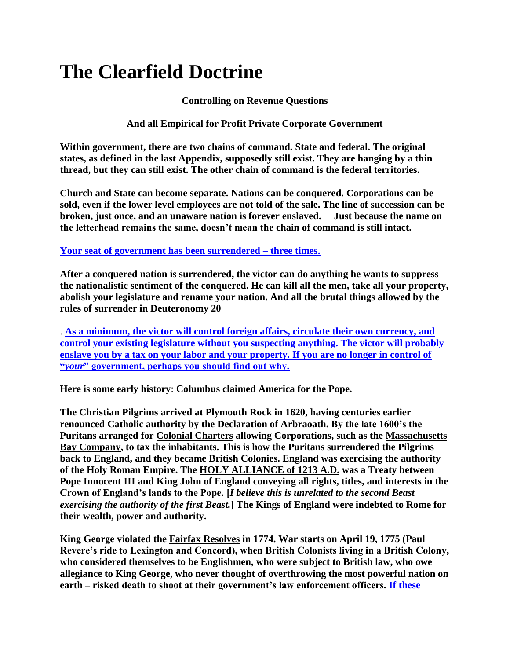# **The Clearfield Doctrine**

#### **Controlling on Revenue Questions**

**And all Empirical for Profit Private Corporate Government**

**Within government, there are two chains of command. State and federal. The original states, as defined in the last Appendix, supposedly still exist. They are hanging by a thin thread, but they can still exist. The other chain of command is the federal territories.**

**Church and State can become separate. Nations can be conquered. Corporations can be sold, even if the lower level employees are not told of the sale. The line of succession can be broken, just once, and an unaware nation is forever enslaved. Just because the name on the letterhead remains the same, doesn't mean the chain of command is still intact.**

**Your seat of government has been surrendered – three times.** 

**After a conquered nation is surrendered, the victor can do anything he wants to suppress the nationalistic sentiment of the conquered. He can kill all the men, take all your property, abolish your legislature and rename your nation. And all the brutal things allowed by the rules of surrender in Deuteronomy 20**

. **As a minimum, the victor will control foreign affairs, circulate their own currency, and control your existing legislature without you suspecting anything. The victor will probably enslave you by a tax on your labor and your property. If you are no longer in control of "***your***" government, perhaps you should find out why.** 

**Here is some early history**: **Columbus claimed America for the Pope.**

**The Christian Pilgrims arrived at Plymouth Rock in 1620, having centuries earlier renounced Catholic authority by the Declaration of Arbraoath. By the late 1600's the Puritans arranged for Colonial Charters allowing Corporations, such as the Massachusetts Bay Company, to tax the inhabitants. This is how the Puritans surrendered the Pilgrims back to England, and they became British Colonies. England was exercising the authority of the Holy Roman Empire. The HOLY ALLIANCE of 1213 A.D. was a Treaty between Pope Innocent III and King John of England conveying all rights, titles, and interests in the Crown of England's lands to the Pope. [***I believe this is unrelated to the second Beast exercising the authority of the first Beast.***] The Kings of England were indebted to Rome for their wealth, power and authority.**

**King George violated the Fairfax Resolves in 1774. War starts on April 19, 1775 (Paul Revere's ride to Lexington and Concord), when British Colonists living in a British Colony, who considered themselves to be Englishmen, who were subject to British law, who owe allegiance to King George, who never thought of overthrowing the most powerful nation on earth – risked death to shoot at their government's law enforcement officers. If these**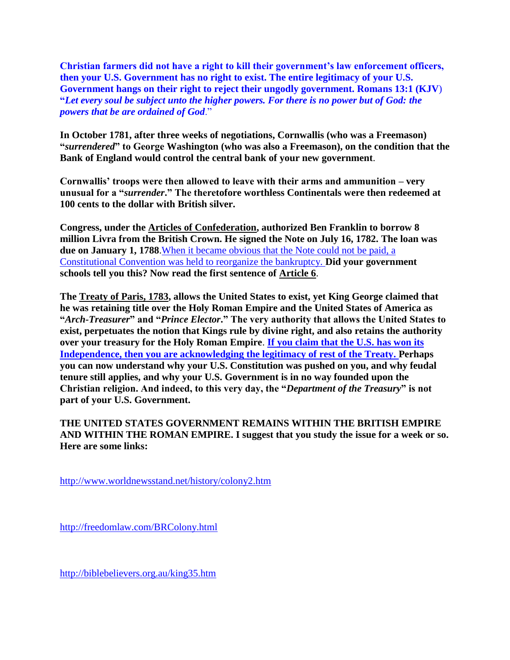**Christian farmers did not have a right to kill their government's law enforcement officers, then your U.S. Government has no right to exist. The entire legitimacy of your U.S. Government hangs on their right to reject their ungodly government. Romans 13:1 (KJV**) **"***Let every soul be subject unto the higher powers. For there is no power but of God: the powers that be are ordained of God*."

**In October 1781, after three weeks of negotiations, Cornwallis (who was a Freemason) "***surrendered***" to George Washington (who was also a Freemason), on the condition that the Bank of England would control the central bank of your new government**.

**Cornwallis' troops were then allowed to leave with their arms and ammunition – very unusual for a "***surrender***." The theretofore worthless Continentals were then redeemed at 100 cents to the dollar with British silver.** 

**Congress, under the Articles of Confederation, authorized Ben Franklin to borrow 8 million Livra from the British Crown. He signed the Note on July 16, 1782. The loan was due on January 1, 1788**.When it became obvious that the Note could not be paid, a Constitutional Convention was held to reorganize the bankruptcy. **Did your government schools tell you this? Now read the first sentence of Article 6**.

**The Treaty of Paris, 1783, allows the United States to exist, yet King George claimed that he was retaining title over the Holy Roman Empire and the United States of America as "***Arch-Treasurer***" and "***Prince Elector***." The very authority that allows the United States to exist, perpetuates the notion that Kings rule by divine right, and also retains the authority over your treasury for the Holy Roman Empire**. **If you claim that the U.S. has won its Independence, then you are acknowledging the legitimacy of rest of the Treaty. Perhaps you can now understand why your U.S. Constitution was pushed on you, and why feudal tenure still applies, and why your U.S. Government is in no way founded upon the Christian religion. And indeed, to this very day, the "***Department of the Treasury***" is not part of your U.S. Government.**

## **THE UNITED STATES GOVERNMENT REMAINS WITHIN THE BRITISH EMPIRE AND WITHIN THE ROMAN EMPIRE. I suggest that you study the issue for a week or so. Here are some links[:](http://freedomlaw.com/BRColony.html)**

<http://www.worldnewsstand.net/history/colony2.htm>

<http://freedomlaw.com/BRColony.html>

<http://biblebelievers.org.au/king35.htm>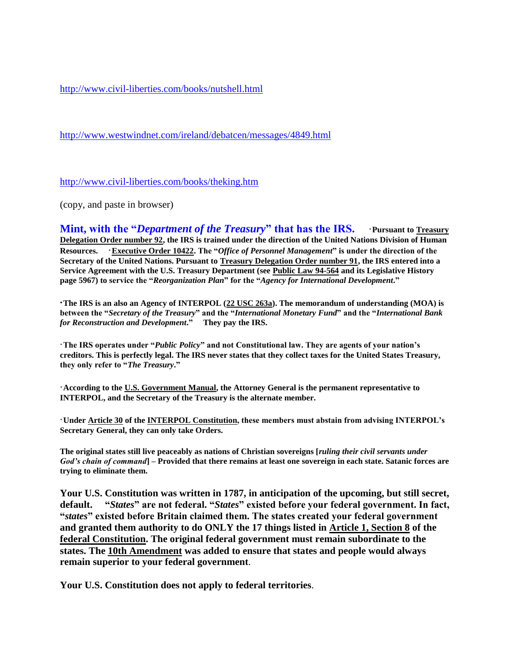<http://www.civil-liberties.com/books/nutshell.html>

<http://www.westwindnet.com/ireland/debatcen/messages/4849.html>

<http://www.civil-liberties.com/books/theking.htm>

(copy, and paste in browser)

**Mint, with the "***Department of the Treasury***" that has the IRS. • Pursuant to Treasury Delegation Order number 92, the IRS is trained under the direction of the United Nations Division of Human Resources.** ·**Executive Order 10422. The "***Office of Personnel Management***" is under the direction of the Secretary of the United Nations. Pursuant to Treasury Delegation Order number 91, the IRS entered into a Service Agreement with the U.S. Treasury Department (see Public Law 94-564 and its Legislative History page 5967) to service the "***Reorganization Plan***" for the "***Agency for International Development***."**

**·The IRS is an also an Agency of INTERPOL (22 USC 263a). The memorandum of understanding (MOA) is between the "***Secretary of the Treasury***" and the "***International Monetary Fund***" and the "***International Bank for Reconstruction and Development***." They pay the IRS.** 

·**The IRS operates under "***Public Policy***" and not Constitutional law. They are agents of your nation's creditors. This is perfectly legal. The IRS never states that they collect taxes for the United States Treasury, they only refer to "***The Treasury***."** 

·**According to the U.S. Government Manual, the Attorney General is the permanent representative to INTERPOL, and the Secretary of the Treasury is the alternate member.**

·**Under Article 30 of the INTERPOL Constitution, these members must abstain from advising INTERPOL's Secretary General, they can only take Orders.** 

**The original states still live peaceably as nations of Christian sovereigns [***ruling their civil servants under God's chain of command***] – Provided that there remains at least one sovereign in each state. Satanic forces are trying to eliminate them.** 

**Your U.S. Constitution was written in 1787, in anticipation of the upcoming, but still secret, default. "***States***" are not federal. "***States***" existed before your federal government. In fact, "***states***" existed before Britain claimed them. The states created your federal government and granted them authority to do ONLY the 17 things listed in Article 1, Section 8 of the federal Constitution. The original federal government must remain subordinate to the states. The 10th Amendment was added to ensure that states and people would always remain superior to your federal government**.

**Your U.S. Constitution does not apply to federal territories**.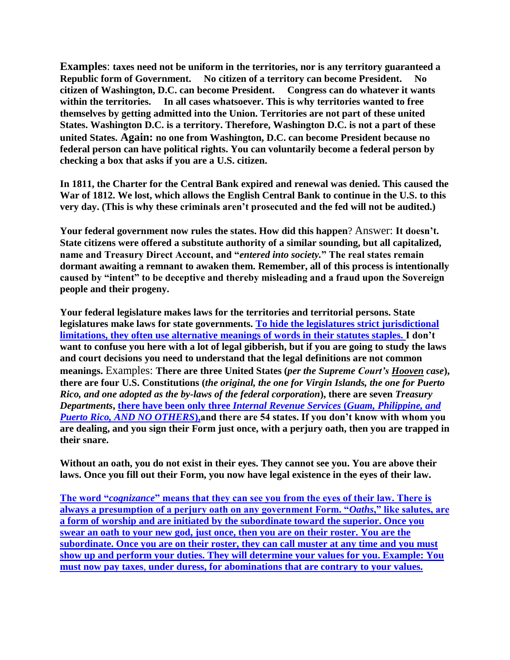**Examples**: **taxes need not be uniform in the territories, nor is any territory guaranteed a Republic form of Government. No citizen of a territory can become President. No citizen of Washington, D.C. can become President. Congress can do whatever it wants within the territories. In all cases whatsoever. This is why territories wanted to free themselves by getting admitted into the Union. Territories are not part of these united States. Washington D.C. is a territory. Therefore, Washington D.C. is not a part of these united States. Again: no one from Washington, D.C. can become President because no federal person can have political rights. You can voluntarily become a federal person by checking a box that asks if you are a U.S. citizen.** 

**In 1811, the Charter for the Central Bank expired and renewal was denied. This caused the War of 1812. We lost, which allows the English Central Bank to continue in the U.S. to this very day. (This is why these criminals aren't prosecuted and the fed will not be audited.)**

**Your federal government now rules the states. How did this happen**? Answer: **It doesn't. State citizens were offered a substitute authority of a similar sounding, but all capitalized, name and Treasury Direct Account, and "***entered into society.***" The real states remain dormant awaiting a remnant to awaken them. Remember, all of this process is intentionally caused by "intent" to be deceptive and thereby misleading and a fraud upon the Sovereign people and their progeny.**

**Your federal legislature makes laws for the territories and territorial persons. State legislatures make laws for state governments. To hide the legislatures strict jurisdictional limitations, they often use alternative meanings of words in their statutes staples. I don't want to confuse you here with a lot of legal gibberish, but if you are going to study the laws and court decisions you need to understand that the legal definitions are not common meanings.** Examples: **There are three United States (***per the Supreme Court's Hooven case***), there are four U.S. Constitutions (***the original, the one for Virgin Islands, the one for Puerto Rico, and one adopted as the by-laws of the federal corporation***), there are seven** *Treasury Departments***, there have been only three** *Internal Revenue Services* **(***Guam, Philippine, and Puerto Rico, AND NO OTHERS***),and there are 54 states. If you don't know with whom you are dealing, and you sign their Form just once, with a perjury oath, then you are trapped in their snare.**

**Without an oath, you do not exist in their eyes. They cannot see you. You are above their laws. Once you fill out their Form, you now have legal existence in the eyes of their law.**

**The word "***cognizance***" means that they can see you from the eyes of their law. There is always a presumption of a perjury oath on any government Form. "***Oaths***," like salutes, are a form of worship and are initiated by the subordinate toward the superior. Once you swear an oath to your new god, just once, then you are on their roster. You are the subordinate. Once you are on their roster, they can call muster at any time and you must show up and perform your duties. They will determine your values for you. Example: You must now pay taxes**, **under duress, for abominations that are contrary to your values.**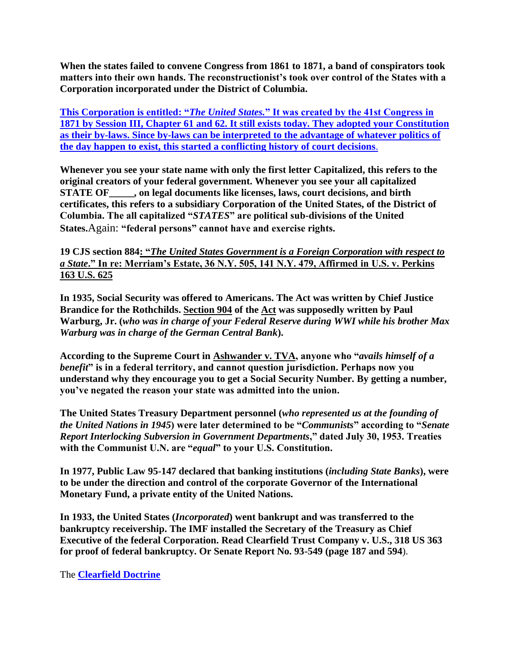**When the states failed to convene Congress from 1861 to 1871, a band of conspirators took matters into their own hands. The reconstructionist's took over control of the States with a Corporation incorporated under the District of Columbia.**

**This Corporation is entitled: "***The United States.***" It was created by the 41st Congress in 1871 by Session III, Chapter 61 and 62. It still exists today. They adopted your Constitution as their by-laws. Since by-laws can be interpreted to the advantage of whatever politics of the day happen to exist, this started a conflicting history of court decisions**.

**Whenever you see your state name with only the first letter Capitalized, this refers to the original creators of your federal government. Whenever you see your all capitalized STATE OF\_\_\_\_\_, on legal documents like licenses, laws, court decisions, and birth certificates, this refers to a subsidiary Corporation of the United States, of the District of Columbia. The all capitalized "***STATES***" are political sub-divisions of the United States.**Again: **"federal persons" cannot have and exercise rights.**

**19 CJS section 884: "***The United States Government is a Foreign Corporation with respect to a State***." In re: Merriam's Estate, 36 N.Y. 505, 141 N.Y. 479, Affirmed in U.S. v. Perkins 163 U.S. 625**

**In 1935, Social Security was offered to Americans. The Act was written by Chief Justice Brandice for the Rothchilds. Section 904 of the Act was supposedly written by Paul Warburg, Jr. (***who was in charge of your Federal Reserve during WWI while his brother Max Warburg was in charge of the German Central Bank***).**

**According to the Supreme Court in Ashwander v. TVA, anyone who "***avails himself of a benefit***" is in a federal territory, and cannot question jurisdiction. Perhaps now you understand why they encourage you to get a Social Security Number. By getting a number, you've negated the reason your state was admitted into the union.**

**The United States Treasury Department personnel (***who represented us at the founding of the United Nations in 1945***) were later determined to be "***Communists***" according to "***Senate Report Interlocking Subversion in Government Departments***," dated July 30, 1953. Treaties with the Communist U.N. are "***equal***" to your U.S. Constitution.**

**In 1977, Public Law 95-147 declared that banking institutions (***including State Banks***), were to be under the direction and control of the corporate Governor of the International Monetary Fund, a private entity of the United Nations.**

**In 1933, the United States (***Incorporated***) went bankrupt and was transferred to the bankruptcy receivership. The IMF installed the Secretary of the Treasury as Chief Executive of the federal Corporation. Read Clearfield Trust Company v. U.S., 318 US 363 for proof of federal bankruptcy. Or Senate Report No. 93-549 (page 187 and 594**).

The **Clearfield Doctrine**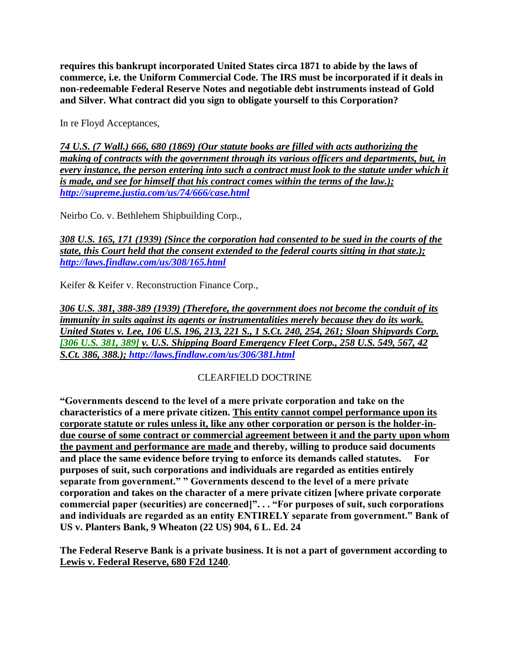**requires this bankrupt incorporated United States circa 1871 to abide by the laws of commerce, i.e. the Uniform Commercial Code. The IRS must be incorporated if it deals in non-redeemable Federal Reserve Notes and negotiable debt instruments instead of Gold and Silver. What contract did you sign to obligate yourself to this Corporation?** 

In re Floyd Acceptances,

*74 U.S. (7 Wall.) 666, 680 (1869) (Our statute books are filled with acts authorizing the making of contracts with the government through its various officers and departments, but, in every instance, the person entering into such a contract must look to the statute under which it is made, and see for himself that his contract comes within the terms of the law.); <http://supreme.justia.com/us/74/666/case.html>*

Neirbo Co. v. Bethlehem Shipbuilding Corp.,

*308 U.S. 165, 171 (1939) (Since the corporation had consented to be sued in the courts of the state, this Court held that the consent extended to the federal courts sitting in that state.); <http://laws.findlaw.com/us/308/165.html>*

Keifer & Keifer v. Reconstruction Finance Corp.,

*306 U.S. 381, 388-389 (1939) (Therefore, the government does not become the conduit of its immunity in suits against its agents or instrumentalities merely because they do its work. United States v. Lee, 106 U.S. 196, 213, 221 S., 1 S.Ct. 240, 254, 261; Sloan Shipyards Corp. [306 U.S. 381, 389] v. U.S. Shipping Board Emergency Fleet Corp., 258 U.S. 549, 567, 42 S.Ct. 386, 388.);<http://laws.findlaw.com/us/306/381.html>*

## CLEARFIELD DOCTRINE

**"Governments descend to the level of a mere private corporation and take on the characteristics of a mere private citizen. This entity cannot compel performance upon its corporate statute or rules unless it, like any other corporation or person is the holder-indue course of some contract or commercial agreement between it and the party upon whom the payment and performance are made and thereby, willing to produce said documents and place the same evidence before trying to enforce its demands called statutes. For purposes of suit, such corporations and individuals are regarded as entities entirely separate from government." " Governments descend to the level of a mere private corporation and takes on the character of a mere private citizen [where private corporate commercial paper (securities) are concerned]". . . "For purposes of suit, such corporations and individuals are regarded as an entity ENTIRELY separate from government." Bank of US v. Planters Bank, 9 Wheaton (22 US) 904, 6 L. Ed. 24**

**The Federal Reserve Bank is a private business. It is not a part of government according to Lewis v. Federal Reserve, 680 F2d 1240**.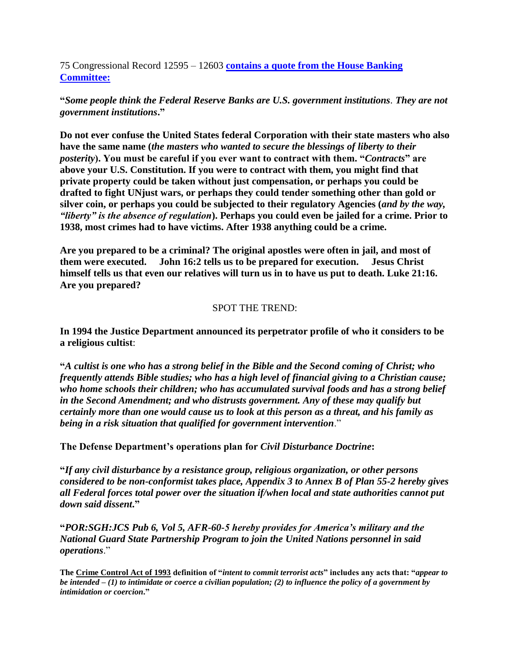75 Congressional Record 12595 – 12603 **contains a quote from the House Banking Committee:**

**"***Some people think the Federal Reserve Banks are U.S. government institutions. They are not government institutions***."**

**Do not ever confuse the United States federal Corporation with their state masters who also have the same name (***the masters who wanted to secure the blessings of liberty to their posterity***). You must be careful if you ever want to contract with them. "***Contracts***" are above your U.S. Constitution. If you were to contract with them, you might find that private property could be taken without just compensation, or perhaps you could be drafted to fight UNjust wars, or perhaps they could tender something other than gold or silver coin, or perhaps you could be subjected to their regulatory Agencies (***and by the way, "liberty" is the absence of regulation***). Perhaps you could even be jailed for a crime. Prior to 1938, most crimes had to have victims. After 1938 anything could be a crime.**

**Are you prepared to be a criminal? The original apostles were often in jail, and most of them were executed. John 16:2 tells us to be prepared for execution. Jesus Christ himself tells us that even our relatives will turn us in to have us put to death. Luke 21:16. Are you prepared?**

#### SPOT THE TREND:

**In 1994 the Justice Department announced its perpetrator profile of who it considers to be a religious cultist**:

**"***A cultist is one who has a strong belief in the Bible and the Second coming of Christ; who frequently attends Bible studies; who has a high level of financial giving to a Christian cause; who home schools their children; who has accumulated survival foods and has a strong belief in the Second Amendment; and who distrusts government. Any of these may qualify but certainly more than one would cause us to look at this person as a threat, and his family as being in a risk situation that qualified for government intervention*."

**The Defense Department's operations plan for** *Civil Disturbance Doctrine***:**

**"***If any civil disturbance by a resistance group, religious organization, or other persons considered to be non-conformist takes place, Appendix 3 to Annex B of Plan 55-2 hereby gives all Federal forces total power over the situation if/when local and state authorities cannot put down said dissent***."**

**"***POR:SGH:JCS Pub 6, Vol 5, AFR-60-5 hereby provides for America's military and the National Guard State Partnership Program to join the United Nations personnel in said operations*."

**The Crime Control Act of 1993 definition of "***intent to commit terrorist acts***" includes any acts that: "***appear to be intended – (1) to intimidate or coerce a civilian population; (2) to influence the policy of a government by intimidation or coercion***."**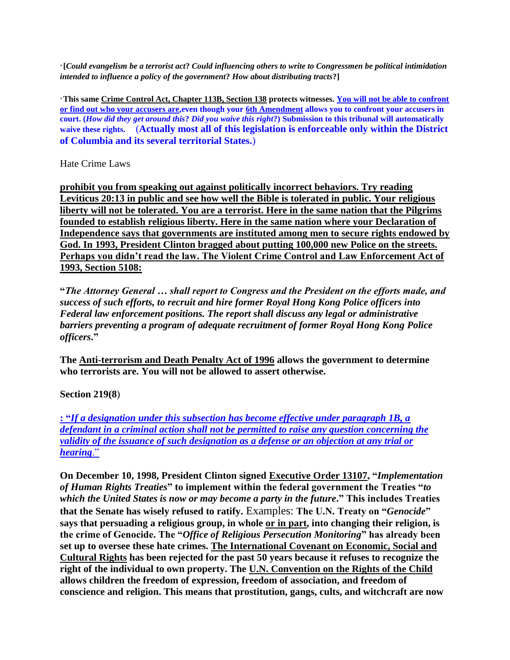·**[***Could evangelism be a terrorist act***?** *Could influencing others to write to Congressmen be political intimidation intended to influence a policy of the government***?** *How about distributing tracts***?]**

·**This same Crime Control Act, Chapter 113B, Section 138 protects witnesses. You will not be able to confront or find out who your accusers are,even though your 6th Amendment allows you to confront your accusers in court. (***How did they get around this***?** *Did you waive this right***?) Submission to this tribunal will automatically waive these rights.** (**Actually most all of this legislation is enforceable only within the District of Columbia and its several territorial States.**)

Hate Crime Laws

**prohibit you from speaking out against politically incorrect behaviors. Try reading Leviticus 20:13 in public and see how well the Bible is tolerated in public. Your religious liberty will not be tolerated. You are a terrorist. Here in the same nation that the Pilgrims founded to establish religious liberty. Here in the same nation where your Declaration of Independence says that governments are instituted among men to secure rights endowed by God. In 1993, President Clinton bragged about putting 100,000 new Police on the streets. Perhaps you didn't read the law. The Violent Crime Control and Law Enforcement Act of 1993, Section 5108:**

**"***The Attorney General … shall report to Congress and the President on the efforts made, and success of such efforts, to recruit and hire former Royal Hong Kong Police officers into Federal law enforcement positions. The report shall discuss any legal or administrative barriers preventing a program of adequate recruitment of former Royal Hong Kong Police officers***."**

**The Anti-terrorism and Death Penalty Act of 1996 allows the government to determine who terrorists are. You will not be allowed to assert otherwise.**

**Section 219(8**)

**: "***If a designation under this subsection has become effective under paragraph 1B, a defendant in a criminal action shall not be permitted to raise any question concerning the validity of the issuance of such designation as a defense or an objection at any trial or hearing*."

**On December 10, 1998, President Clinton signed Executive Order 13107, "***Implementation of Human Rights Treaties***" to implement within the federal government the Treaties "***to which the United States is now or may become a party in the future***." This includes Treaties that the Senate has wisely refused to ratify.** Examples: **The U.N. Treaty on "***Genocide***" says that persuading a religious group, in whole or in part, into changing their religion, is the crime of Genocide. The "***Office of Religious Persecution Monitoring***" has already been set up to oversee these hate crimes. The International Covenant on Economic, Social and Cultural Rights has been rejected for the past 50 years because it refuses to recognize the right of the individual to own property. The U.N. Convention on the Rights of the Child allows children the freedom of expression, freedom of association, and freedom of conscience and religion. This means that prostitution, gangs, cults, and witchcraft are now**